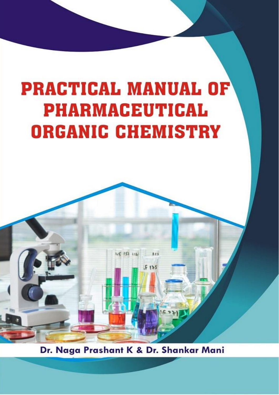# **PRACTICAL MANUAL OF PHARMACEUTICAL ORGANIC CHEMISTRY**



Dr. Naga Prashant K & Dr. Shankar Mani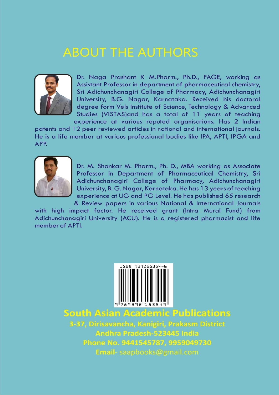## **ABOUT THE AUTHORS**



Dr. Naga Prashant K M.Pharm., Ph.D., FAGE, working as Assistant Professor in department of pharmaceutical chemistry, Sri Adichunchanagiri College of Pharmacy, Adichunchanagiri University, B.G. Nagar, Karnataka. Received his doctoral degree form Vels Institute of Science, Technology & Advanced Studies (VISTAS) and has a total of 11 years of teaching experience at various reputed organisations. Has 2 Indian

patents and 12 peer reviewed articles in national and international journals. He is a life member at various professional bodies like IPA, APTI, IPGA and APP.



Dr. M. Shankar M. Pharm., Ph. D., MBA working as Associate Professor in Department of Pharmaceutical Chemistry, Sri Adichunchanagiri College of Pharmacy, Adichunchanagiri University, B. G. Nagar, Karnataka. He has 13 years of teaching experience at UG and PG Level. He has published 65 research & Review papers in various National & International Journals

with high impact factor. He received grant (Intra Mural Fund) from Adichunchanagiri University (ACU). He is a registered pharmacist and life member of APTI.



**South Asian Academic Publications** 

3-37, Dirisavancha, Kanigiri, Prakasm District Andhra Pradesh-523445 India Phone No. 9441545787, 9959049730 Email-saapbooks@gmail.com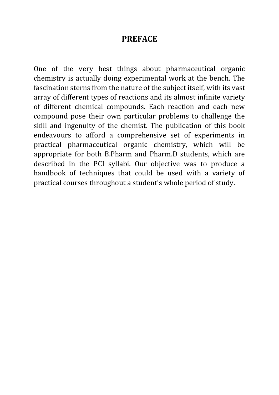#### **PREFACE**

One of the very best things about pharmaceutical organic chemistry is actually doing experimental work at the bench. The fascination sterns from the nature of the subject itself, with its vast array of different types of reactions and its almost infinite variety of different chemical compounds. Each reaction and each new compound pose their own particular problems to challenge the skill and ingenuity of the chemist. The publication of this book endeavours to afford a comprehensive set of experiments in practical pharmaceutical organic chemistry, which will be appropriate for both B.Pharm and Pharm.D students, which are described in the PCI syllabi. Our objective was to produce a handbook of techniques that could be used with a variety of practical courses throughout a student's whole period of study.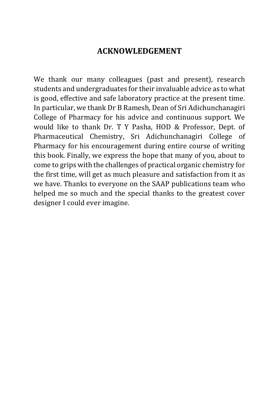#### **ACKNOWLEDGEMENT**

We thank our many colleagues (past and present), research students and undergraduates for their invaluable advice as to what is good, effective and safe laboratory practice at the present time. In particular, we thank Dr B Ramesh, Dean of Sri Adichunchanagiri College of Pharmacy for his advice and continuous support. We would like to thank Dr. T Y Pasha, HOD & Professor, Dept. of Pharmaceutical Chemistry, Sri Adichunchanagiri College of Pharmacy for his encouragement during entire course of writing this book. Finally, we express the hope that many of you, about to come to grips with the challenges of practical organic chemistry for the first time, will get as much pleasure and satisfaction from it as we have. Thanks to everyone on the SAAP publications team who helped me so much and the special thanks to the greatest cover designer I could ever imagine.